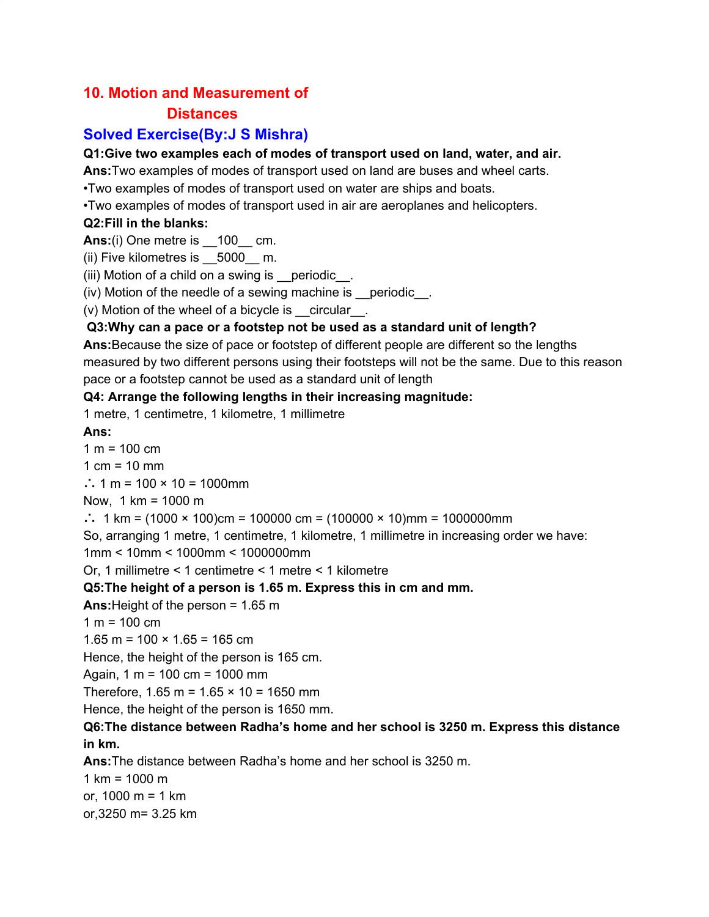### **10. Motion and Measurement of**

### **Distances**

### **Solved Exercise(By:J S Mishra)**

#### **Q1:Give two examples each of modes of transport used on land, water, and air.**

**Ans:**Two examples of modes of transport used on land are buses and wheel carts.

•Two examples of modes of transport used on water are ships and boats.

•Two examples of modes of transport used in air are aeroplanes and helicopters.

#### **Q2:Fill in the blanks:**

**Ans:**(i) One metre is  $\overline{100}$  cm.

(ii) Five kilometres is 5000 m.

(iii) Motion of a child on a swing is periodic...

(iv) Motion of the needle of a sewing machine is \_\_periodic\_\_.

(v) Motion of the wheel of a bicycle is \_\_circular\_\_.

### **Q3:Why can a pace or a footstep not be used as a standard unit of length?**

**Ans:**Because the size of pace or footstep of different people are different so the lengths measured by two different persons using their footsteps will not be the same. Due to this reason pace or a footstep cannot be used as a standard unit of length

#### **Q4: Arrange the following lengths in their increasing magnitude:**

1 metre, 1 centimetre, 1 kilometre, 1 millimetre

### **Ans:**

 $1 m = 100 cm$ 

1  $cm = 10$  mm

∴ 1 m = 100 × 10 = 1000mm

Now, 1 km = 1000 m

∴ 1 km = (1000 × 100)cm = 100000 cm = (100000 × 10)mm = 1000000mm

So, arranging 1 metre, 1 centimetre, 1 kilometre, 1 millimetre in increasing order we have:

1mm < 10mm < 1000mm < 1000000mm

Or, 1 millimetre < 1 centimetre < 1 metre < 1 kilometre

#### **Q5:The height of a person is 1.65 m. Express this in cm and mm.**

**Ans:**Height of the person = 1.65 m

 $1 m = 100 cm$ 

 $1.65$  m =  $100 \times 1.65$  = 165 cm

Hence, the height of the person is 165 cm.

Again, 1 m = 100 cm = 1000 mm

Therefore,  $1.65$  m =  $1.65 \times 10 = 1650$  mm

Hence, the height of the person is 1650 mm.

### **Q6:The distance between Radha's home and her school is 3250 m. Express this distance in km.**

**Ans:**The distance between Radha's home and her school is 3250 m.

1 km =  $1000 \text{ m}$ or, 1000 m = 1 km

or,3250 m= 3.25 km